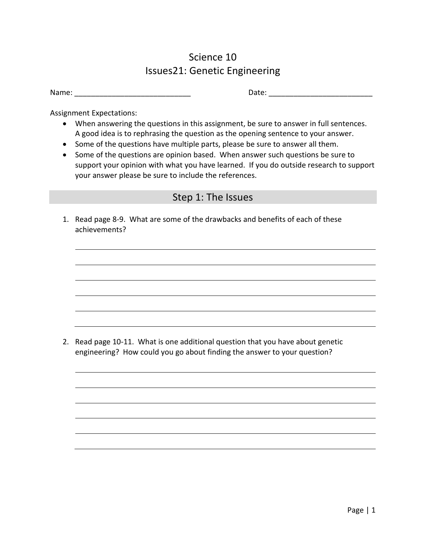## Science 10 Issues21: Genetic Engineering

| Name: |  |  |
|-------|--|--|
|       |  |  |

Date:  $\Box$ 

Assignment Expectations:

- When answering the questions in this assignment, be sure to answer in full sentences. A good idea is to rephrasing the question as the opening sentence to your answer.
- Some of the questions have multiple parts, please be sure to answer all them.
- Some of the questions are opinion based. When answer such questions be sure to support your opinion with what you have learned. If you do outside research to support your answer please be sure to include the references.

## Step 1: The Issues

1. Read page 8-9. What are some of the drawbacks and benefits of each of these achievements?

2. Read page 10-11. What is one additional question that you have about genetic engineering? How could you go about finding the answer to your question?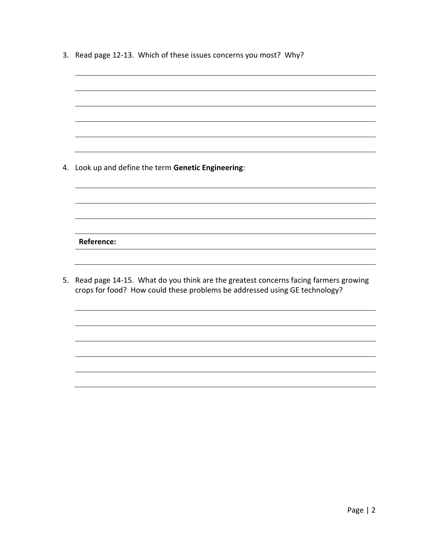|  |  | 3. Read page 12-13. Which of these issues concerns you most? Why? |  |
|--|--|-------------------------------------------------------------------|--|
|--|--|-------------------------------------------------------------------|--|

| 4. | Look up and define the term Genetic Engineering:                                                                                                                  |
|----|-------------------------------------------------------------------------------------------------------------------------------------------------------------------|
|    |                                                                                                                                                                   |
|    |                                                                                                                                                                   |
|    |                                                                                                                                                                   |
|    |                                                                                                                                                                   |
|    | <b>Reference:</b>                                                                                                                                                 |
|    |                                                                                                                                                                   |
| 5. | Read page 14-15. What do you think are the greatest concerns facing farmers growing<br>crops for food? How could these problems be addressed using GE technology? |
|    |                                                                                                                                                                   |
|    |                                                                                                                                                                   |
|    |                                                                                                                                                                   |
|    |                                                                                                                                                                   |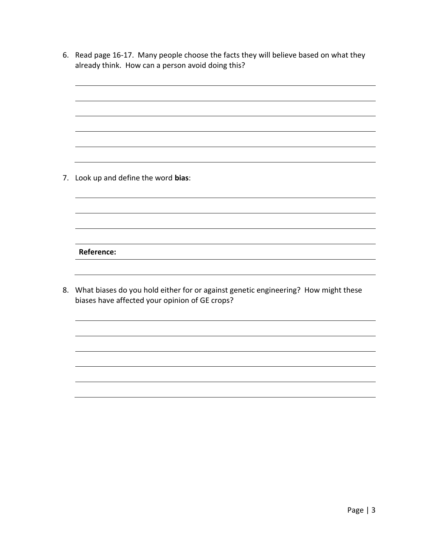6. Read page 16-17. Many people choose the facts they will believe based on what they already think. How can a person avoid doing this?

7. Look up and define the word **bias**:

**Reference:**

8. What biases do you hold either for or against genetic engineering? How might these biases have affected your opinion of GE crops?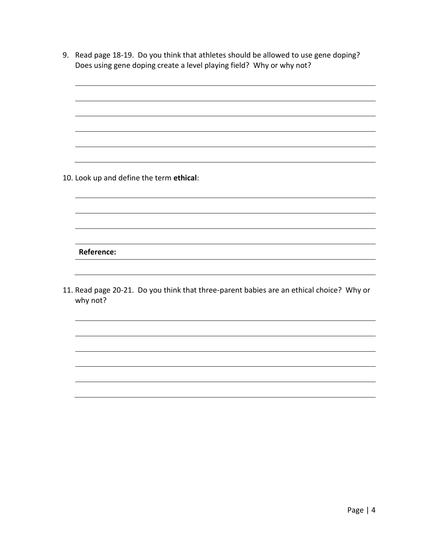9. Read page 18-19. Do you think that athletes should be allowed to use gene doping? Does using gene doping create a level playing field? Why or why not?

10. Look up and define the term **ethical**:

**Reference:**

11. Read page 20-21. Do you think that three-parent babies are an ethical choice? Why or why not?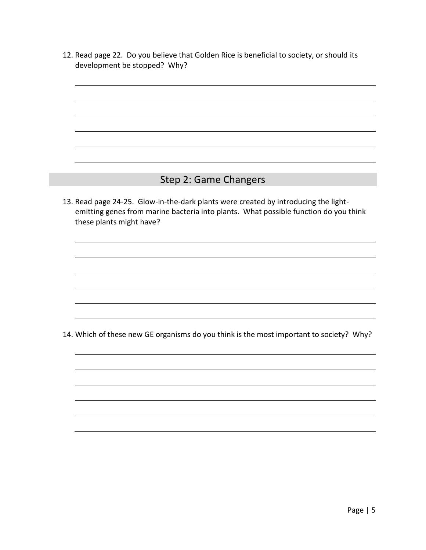12. Read page 22. Do you believe that Golden Rice is beneficial to society, or should its development be stopped? Why?

## Step 2: Game Changers

13. Read page 24-25. Glow-in-the-dark plants were created by introducing the lightemitting genes from marine bacteria into plants. What possible function do you think these plants might have?

14. Which of these new GE organisms do you think is the most important to society? Why?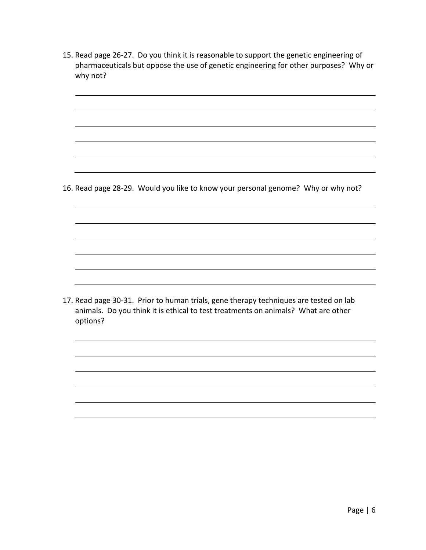15. Read page 26-27. Do you think it is reasonable to support the genetic engineering of pharmaceuticals but oppose the use of genetic engineering for other purposes? Why or why not?

16. Read page 28-29. Would you like to know your personal genome? Why or why not?

17. Read page 30-31. Prior to human trials, gene therapy techniques are tested on lab animals. Do you think it is ethical to test treatments on animals? What are other options?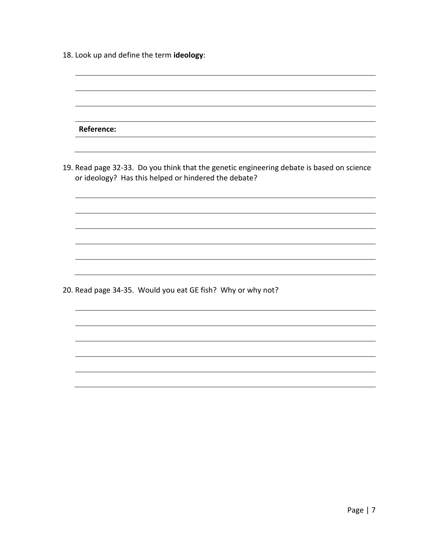| 18. Look up and define the term ideology: |  |
|-------------------------------------------|--|
|-------------------------------------------|--|

| Reference:                                                                                                                                        |
|---------------------------------------------------------------------------------------------------------------------------------------------------|
|                                                                                                                                                   |
|                                                                                                                                                   |
| 19. Read page 32-33. Do you think that the genetic engineering debate is based on science<br>or ideology? Has this helped or hindered the debate? |
|                                                                                                                                                   |
|                                                                                                                                                   |
|                                                                                                                                                   |
|                                                                                                                                                   |
|                                                                                                                                                   |
| 20. Read page 34-35. Would you eat GE fish? Why or why not?                                                                                       |
|                                                                                                                                                   |
|                                                                                                                                                   |
|                                                                                                                                                   |
|                                                                                                                                                   |
|                                                                                                                                                   |
|                                                                                                                                                   |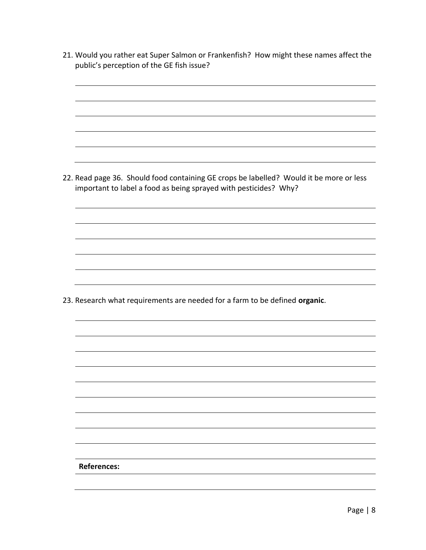21. Would you rather eat Super Salmon or Frankenfish? How might these names affect the public's perception of the GE fish issue? 22. Read page 36. Should food containing GE crops be labelled? Would it be more or less important to label a food as being sprayed with pesticides? Why? 23. Research what requirements are needed for a farm to be defined **organic**. **References:**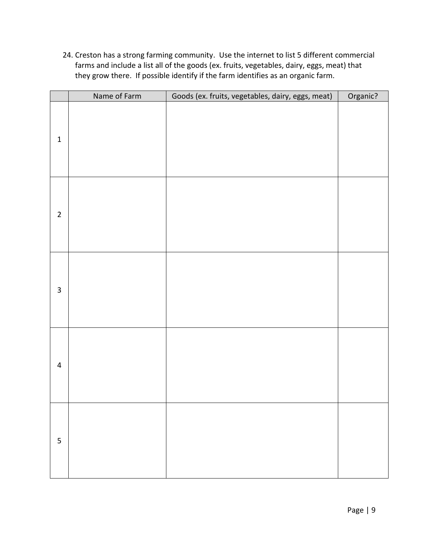24. Creston has a strong farming community. Use the internet to list 5 different commercial farms and include a list all of the goods (ex. fruits, vegetables, dairy, eggs, meat) that they grow there. If possible identify if the farm identifies as an organic farm.

|                         | Name of Farm | Goods (ex. fruits, vegetables, dairy, eggs, meat) | Organic? |
|-------------------------|--------------|---------------------------------------------------|----------|
| $\mathbf 1$             |              |                                                   |          |
| $\overline{2}$          |              |                                                   |          |
| $\overline{\mathbf{3}}$ |              |                                                   |          |
| $\overline{4}$          |              |                                                   |          |
| 5                       |              |                                                   |          |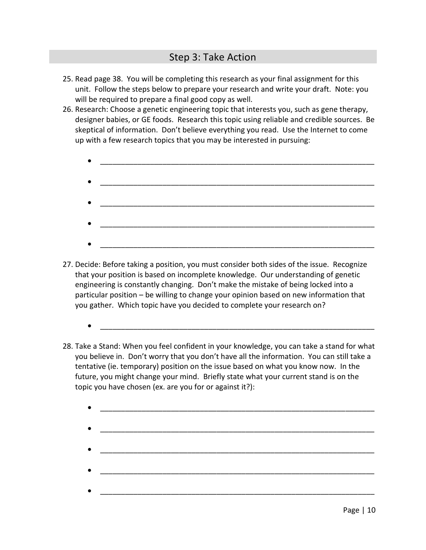- 25. Read page 38. You will be completing this research as your final assignment for this unit. Follow the steps below to prepare your research and write your draft. Note: you will be required to prepare a final good copy as well.
- 26. Research: Choose a genetic engineering topic that interests you, such as gene therapy, designer babies, or GE foods. Research this topic using reliable and credible sources. Be skeptical of information. Don't believe everything you read. Use the Internet to come up with a few research topics that you may be interested in pursuing:
	- $\bullet$   $\overbrace{\hspace{25mm}}$   $\overbrace{\hspace{25mm}}$   $\overbrace{\hspace{25mm}}$   $\overbrace{\hspace{25mm}}$   $\overbrace{\hspace{25mm}}$  $\bullet$   $\overbrace{\hspace{25mm}}$   $\overbrace{\hspace{25mm}}$   $\overbrace{\hspace{25mm}}$   $\overbrace{\hspace{25mm}}$   $\overbrace{\hspace{25mm}}$  $\bullet$   $\overbrace{\phantom{...}}$   $\overbrace{\phantom{...}}$   $\overbrace{\phantom{...}}$   $\overbrace{\phantom{...}}$   $\overbrace{\phantom{...}}$   $\overbrace{\phantom{...}}$  $\bullet$   $\overbrace{\phantom{...}}$   $\overbrace{\phantom{...}}$   $\overbrace{\phantom{...}}$   $\overbrace{\phantom{...}}$   $\overbrace{\phantom{...}}$   $\overbrace{\phantom{...}}$   $\overbrace{\phantom{...}}$   $\overbrace{\phantom{...}}$   $\overbrace{\phantom{...}}$   $\overbrace{\phantom{...}}$   $\overbrace{\phantom{...}}$   $\overbrace{\phantom{...}}$   $\overbrace{\phantom{...}}$   $\overbrace{\phantom{...}}$   $\overbrace{\phantom{...}}$   $\overbrace{\phantom{...}}$   $\overbrace{\phantom{...}}$   $\overbrace{\phantom{...}}$   $\bullet$   $\overbrace{\phantom{...}}$   $\overbrace{\phantom{...}}$   $\overbrace{\phantom{...}}$   $\overbrace{\phantom{...}}$   $\overbrace{\phantom{...}}$   $\overbrace{\phantom{...}}$
- 27. Decide: Before taking a position, you must consider both sides of the issue. Recognize that your position is based on incomplete knowledge. Our understanding of genetic engineering is constantly changing. Don't make the mistake of being locked into a particular position – be willing to change your opinion based on new information that you gather. Which topic have you decided to complete your research on?
	- $\bullet$   $\overbrace{\phantom{...}}$   $\overbrace{\phantom{...}}$   $\overbrace{\phantom{...}}$   $\overbrace{\phantom{...}}$   $\overbrace{\phantom{...}}$   $\overbrace{\phantom{...}}$
- 28. Take a Stand: When you feel confident in your knowledge, you can take a stand for what you believe in. Don't worry that you don't have all the information. You can still take a tentative (ie. temporary) position on the issue based on what you know now. In the future, you might change your mind. Briefly state what your current stand is on the topic you have chosen (ex. are you for or against it?):
	- $\bullet$   $\overbrace{\hspace{25mm}}$   $\overbrace{\hspace{25mm}}$   $\overbrace{\hspace{25mm}}$   $\overbrace{\hspace{25mm}}$  $\bullet$   $\overbrace{\phantom{...}}$   $\overbrace{\phantom{...}}$   $\overbrace{\phantom{...}}$   $\overbrace{\phantom{...}}$   $\overbrace{\phantom{...}}$   $\overbrace{\phantom{...}}$  $\bullet$   $\overbrace{\hspace{25mm}}$   $\overbrace{\hspace{25mm}}$   $\overbrace{\hspace{25mm}}$   $\overbrace{\hspace{25mm}}$   $\overbrace{\hspace{25mm}}$  $\bullet$   $\overbrace{\hspace{25mm}}$   $\overbrace{\hspace{25mm}}$   $\overbrace{\hspace{25mm}}$   $\overbrace{\hspace{25mm}}$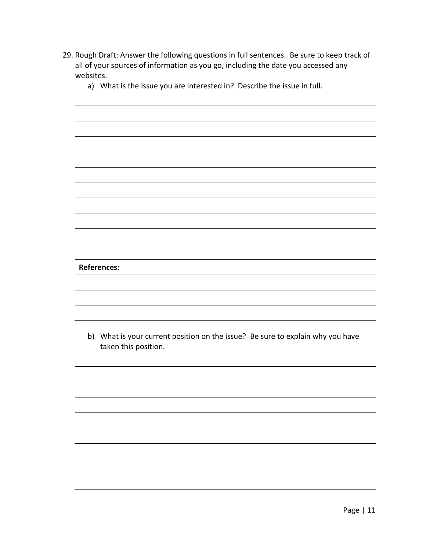- 29. Rough Draft: Answer the following questions in full sentences. Be sure to keep track of all of your sources of information as you go, including the date you accessed any websites.
	- a) What is the issue you are interested in? Describe the issue in full.

**References:**

b) What is your current position on the issue? Be sure to explain why you have taken this position.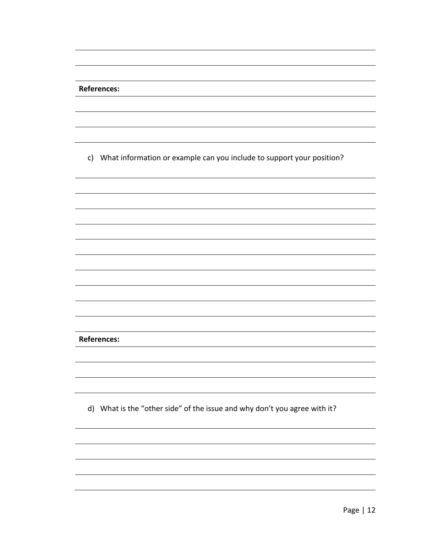| <b>References:</b>                                                        |
|---------------------------------------------------------------------------|
|                                                                           |
|                                                                           |
|                                                                           |
|                                                                           |
| c) What information or example can you include to support your position?  |
|                                                                           |
|                                                                           |
|                                                                           |
|                                                                           |
|                                                                           |
|                                                                           |
|                                                                           |
|                                                                           |
|                                                                           |
|                                                                           |
|                                                                           |
|                                                                           |
| <b>References:</b>                                                        |
|                                                                           |
|                                                                           |
|                                                                           |
|                                                                           |
| d) What is the "other side" of the issue and why don't you agree with it? |
|                                                                           |
|                                                                           |
|                                                                           |
|                                                                           |